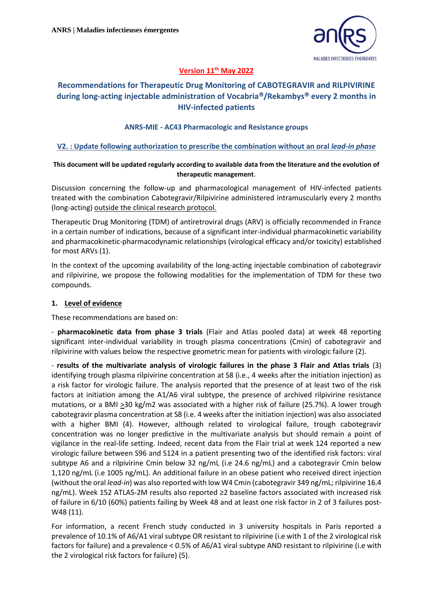

### **Version 11th May 2022**

# **Recommendations for Therapeutic Drug Monitoring of CABOTEGRAVIR and RILPIVIRINE during long-acting injectable administration of Vocabria/Rekambys every 2 months in HIV-infected patients**

#### **ANRS-MIE - AC43 Pharmacologic and Resistance groups**

#### **V2. : Update following authorization to prescribe the combination without an oral** *lead-in phase*

#### **This document will be updated regularly according to available data from the literature and the evolution of therapeutic management**.

Discussion concerning the follow-up and pharmacological management of HIV-infected patients treated with the combination Cabotegravir/Rilpivirine administered intramuscularly every 2 months (long-acting) outside the clinical research protocol.

Therapeutic Drug Monitoring (TDM) of antiretroviral drugs (ARV) is officially recommended in France in a certain number of indications, because of a significant inter-individual pharmacokinetic variability and pharmacokinetic-pharmacodynamic relationships (virological efficacy and/or toxicity) established for most ARVs (1).

In the context of the upcoming availability of the long-acting injectable combination of cabotegravir and rilpivirine, we propose the following modalities for the implementation of TDM for these two compounds.

#### **1. Level of evidence**

These recommendations are based on:

- **pharmacokinetic data from phase 3 trials** (Flair and Atlas pooled data) at week 48 reporting significant inter-individual variability in trough plasma concentrations (Cmin) of cabotegravir and rilpivirine with values below the respective geometric mean for patients with virologic failure (2).

- **results of the multivariate analysis of virologic failures in the phase 3 Flair and Atlas trials** (3) identifying trough plasma rilpivirine concentration at S8 (i.e., 4 weeks after the initiation injection) as a risk factor for virologic failure. The analysis reported that the presence of at least two of the risk factors at initiation among the A1/A6 viral subtype, the presence of archived rilpivirine resistance mutations, or a BMI >30 kg/m2 was associated with a higher risk of failure (25.7%). A lower trough cabotegravir plasma concentration at S8 (i.e. 4 weeks after the initiation injection) was also associated with a higher BMI (4). However, although related to virological failure, trough cabotegravir concentration was no longer predictive in the multivariate analysis but should remain a point of vigilance in the real-life setting. Indeed, recent data from the Flair trial at week 124 reported a new virologic failure between S96 and S124 in a patient presenting two of the identified risk factors: viral subtype A6 and a rilpivirine Cmin below 32 ng/mL (i.e 24.6 ng/mL) and a cabotegravir Cmin below 1,120 ng/mL (i.e 1005 ng/mL). An additional failure in an obese patient who received direct injection (without the oral *lead-in*) was also reported with low W4 Cmin (cabotegravir 349 ng/mL; rilpivirine 16.4 ng/mL). Week 152 ATLAS-2M results also reported ≥2 baseline factors associated with increased risk of failure in 6/10 (60%) patients failing by Week 48 and at least one risk factor in 2 of 3 failures post-W48 (11).

For information, a recent French study conducted in 3 university hospitals in Paris reported a prevalence of 10.1% of A6/A1 viral subtype OR resistant to rilpivirine (i.e with 1 of the 2 virological risk factors for failure) and a prevalence < 0.5% of A6/A1 viral subtype AND resistant to rilpivirine (i.e with the 2 virological risk factors for failure) (5).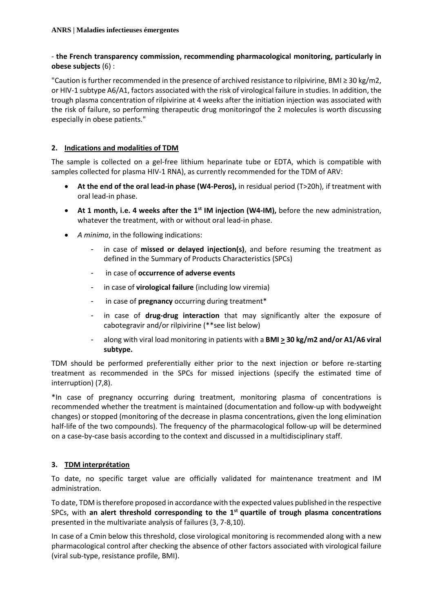### - **the French transparency commission, recommending pharmacological monitoring, particularly in obese subjects** (6) :

"Caution is further recommended in the presence of archived resistance to rilpivirine, BMI ≥ 30 kg/m2, or HIV-1 subtype A6/A1, factors associated with the risk of virological failure in studies. In addition, the trough plasma concentration of rilpivirine at 4 weeks after the initiation injection was associated with the risk of failure, so performing therapeutic drug monitoringof the 2 molecules is worth discussing especially in obese patients."

## **2. Indications and modalities of TDM**

The sample is collected on a gel-free lithium heparinate tube or EDTA, which is compatible with samples collected for plasma HIV-1 RNA), as currently recommended for the TDM of ARV:

- **At the end of the oral lead-in phase (W4-Peros),** in residual period (T>20h), if treatment with oral lead-in phase.
- **At 1 month, i.e. 4 weeks after the 1st IM injection (W4-IM),** before the new administration, whatever the treatment, with or without oral lead-in phase.
- *A minima*, in the following indications:
	- in case of **missed or delayed injection(s)**, and before resuming the treatment as defined in the Summary of Products Characteristics (SPCs)
	- in case of **occurrence of adverse events**
	- in case of **virological failure** (including low viremia)
	- in case of **pregnancy** occurring during treatment\*
	- in case of **drug-drug interaction** that may significantly alter the exposure of cabotegravir and/or rilpivirine (\*\*see list below)
	- along with viral load monitoring in patients with a **BMI > 30 kg/m2 and/or A1/A6 viral subtype.**

TDM should be performed preferentially either prior to the next injection or before re-starting treatment as recommended in the SPCs for missed injections (specify the estimated time of interruption) (7,8).

\*In case of pregnancy occurring during treatment, monitoring plasma of concentrations is recommended whether the treatment is maintained (documentation and follow-up with bodyweight changes) or stopped (monitoring of the decrease in plasma concentrations, given the long elimination half-life of the two compounds). The frequency of the pharmacological follow-up will be determined on a case-by-case basis according to the context and discussed in a multidisciplinary staff.

# **3. TDM interprétation**

To date, no specific target value are officially validated for maintenance treatment and IM administration.

To date, TDM is therefore proposed in accordance with the expected values published in the respective SPCs, with **an alert threshold corresponding to the 1st quartile of trough plasma concentrations** presented in the multivariate analysis of failures (3, 7-8,10).

In case of a Cmin below this threshold, close virological monitoring is recommended along with a new pharmacological control after checking the absence of other factors associated with virological failure (viral sub-type, resistance profile, BMI).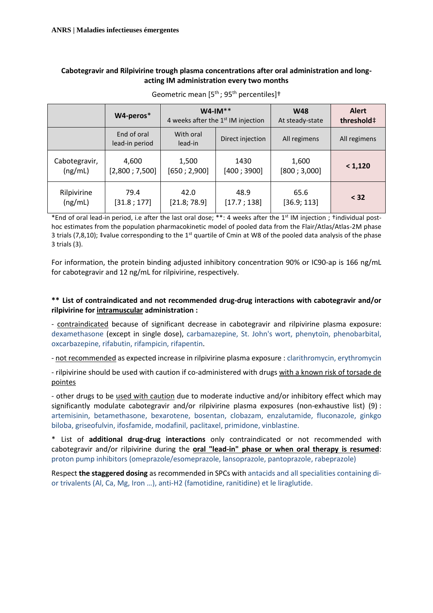### **Cabotegravir and Rilpivirine trough plasma concentrations after oral administration and longacting IM administration every two months**

|               | W4-peros*                     | $W4$ -IM**<br>4 weeks after the 1 <sup>st</sup> IM injection |                  | <b>W48</b><br>At steady-state | <b>Alert</b><br>threshold# |
|---------------|-------------------------------|--------------------------------------------------------------|------------------|-------------------------------|----------------------------|
|               | End of oral<br>lead-in period | With oral<br>lead-in                                         | Direct injection | All regimens                  | All regimens               |
| Cabotegravir, | 4,600                         | 1,500                                                        | 1430             | 1,600                         | < 1,120                    |
| (ng/mL)       | [2,800; 7,500]                | [650; 2,900]                                                 | [400; 3900]      | [800; 3,000]                  |                            |
| Rilpivirine   | 79.4                          | 42.0                                                         | 48.9             | 65.6                          | < 32                       |
| (ng/mL)       | [31.8; 177]                   | [21.8; 78.9]                                                 | [17.7; 138]      | [36.9; 113]                   |                            |

Geometric mean  $[5<sup>th</sup>$ ; 95<sup>th</sup> percentiles]<sup>†</sup>

\*End of oral lead-in period, i.e after the last oral dose; \*\*: 4 weeks after the 1<sup>st</sup> IM injection; †individual posthoc estimates from the population pharmacokinetic model of pooled data from the Flair/Atlas/Atlas-2M phase 3 trials (7,8,10); ‡value corresponding to the 1<sup>st</sup> quartile of Cmin at W8 of the pooled data analysis of the phase 3 trials (3).

For information, the protein binding adjusted inhibitory concentration 90% or IC90-ap is 166 ng/mL for cabotegravir and 12 ng/mL for rilpivirine, respectively.

### **\*\* List of contraindicated and not recommended drug-drug interactions with cabotegravir and/or rilpivirine for intramuscular administration :**

- contraindicated because of significant decrease in cabotegravir and rilpivirine plasma exposure: dexamethasone (except in single dose), carbamazepine, St. John's wort, phenytoïn, phenobarbital, oxcarbazepine, rifabutin, rifampicin, rifapentin.

- not recommended as expected increase in rilpivirine plasma exposure : clarithromycin, erythromycin

- rilpivirine should be used with caution if co-administered with drugs with a known risk of torsade de pointes

- other drugs to be used with caution due to moderate inductive and/or inhibitory effect which may significantly modulate cabotegravir and/or rilpivirine plasma exposures (non-exhaustive list) (9) : artemisinin, betamethasone, bexarotene, bosentan, clobazam, enzalutamide, fluconazole, ginkgo biloba, griseofulvin, ifosfamide, modafinil, paclitaxel, primidone, vinblastine.

\* List of **additional drug-drug interactions** only contraindicated or not recommended with cabotegravir and/or rilpivirine during the **oral "lead-in" phase or when oral therapy is resumed**: proton pump inhibitors (omeprazole/esomeprazole, lansoprazole, pantoprazole, rabeprazole)

Respect **the staggered dosing** as recommended in SPCs with antacids and all specialities containing dior trivalents (Al, Ca, Mg, Iron …), anti-H2 (famotidine, ranitidine) et le liraglutide.